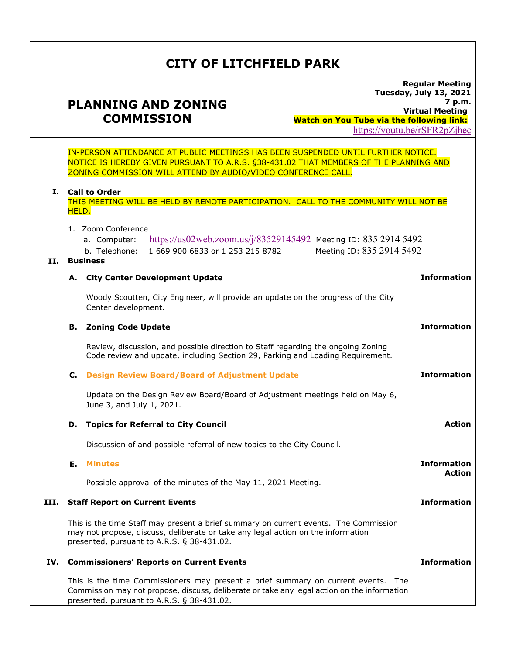# **CITY OF LITCHFIELD PARK**

## **PLANNING AND ZONING COMMISSION**

**Regular Meeting Tuesday, July 13, 2021 7 p.m. Virtual Meeting Watch on You Tube via the following link:**  https://youtu.be/rSFR2pZjhec

IN-PERSON ATTENDANCE AT PUBLIC MEETINGS HAS BEEN SUSPENDED UNTIL FURTHER NOTICE. NOTICE IS HEREBY GIVEN PURSUANT TO A.R.S. §38-431.02 THAT MEMBERS OF THE PLANNING AND ZONING COMMISSION WILL ATTEND BY AUDIO/VIDEO CONFERENCE CALL.

#### **I. Call to Order**

|      |                                                                                                                                                                                                                        | THIS MEETING WILL BE HELD BY REMOTE PARTICIPATION. CALL TO THE COMMUNITY WILL NOT BE<br>HELD.                                                                                                              |                    |  |
|------|------------------------------------------------------------------------------------------------------------------------------------------------------------------------------------------------------------------------|------------------------------------------------------------------------------------------------------------------------------------------------------------------------------------------------------------|--------------------|--|
| П.   |                                                                                                                                                                                                                        | 1. Zoom Conference<br>https://us02web.zoom.us/j/83529145492 Meeting ID: 835 2914 5492<br>a. Computer:<br>Meeting ID: 835 2914 5492<br>1 669 900 6833 or 1 253 215 8782<br>b. Telephone:<br><b>Business</b> |                    |  |
|      | А.                                                                                                                                                                                                                     | <b>City Center Development Update</b>                                                                                                                                                                      | <b>Information</b> |  |
|      |                                                                                                                                                                                                                        | Woody Scoutten, City Engineer, will provide an update on the progress of the City<br>Center development.                                                                                                   |                    |  |
|      | в.                                                                                                                                                                                                                     | <b>Zoning Code Update</b>                                                                                                                                                                                  | <b>Information</b> |  |
|      | Review, discussion, and possible direction to Staff regarding the ongoing Zoning<br>Code review and update, including Section 29, Parking and Loading Requirement.                                                     |                                                                                                                                                                                                            |                    |  |
|      | c.                                                                                                                                                                                                                     | <b>Design Review Board/Board of Adjustment Update</b>                                                                                                                                                      | <b>Information</b> |  |
|      |                                                                                                                                                                                                                        | Update on the Design Review Board/Board of Adjustment meetings held on May 6,<br>June 3, and July 1, 2021.                                                                                                 |                    |  |
|      | D.                                                                                                                                                                                                                     | <b>Topics for Referral to City Council</b>                                                                                                                                                                 | <b>Action</b>      |  |
|      |                                                                                                                                                                                                                        | Discussion of and possible referral of new topics to the City Council.                                                                                                                                     |                    |  |
|      | Е.                                                                                                                                                                                                                     | <b>Minutes</b>                                                                                                                                                                                             | <b>Information</b> |  |
|      |                                                                                                                                                                                                                        | Possible approval of the minutes of the May 11, 2021 Meeting.                                                                                                                                              | <b>Action</b>      |  |
| III. | <b>Staff Report on Current Events</b>                                                                                                                                                                                  |                                                                                                                                                                                                            | <b>Information</b> |  |
|      | This is the time Staff may present a brief summary on current events. The Commission<br>may not propose, discuss, deliberate or take any legal action on the information<br>presented, pursuant to A.R.S. § 38-431.02. |                                                                                                                                                                                                            |                    |  |
| IV.  | <b>Commissioners' Reports on Current Events</b>                                                                                                                                                                        |                                                                                                                                                                                                            | <b>Information</b> |  |
|      | This is the time Commissioners may present a brief summary on current events. The<br>Commission may not propose, discuss, deliberate or take any legal action on the information                                       |                                                                                                                                                                                                            |                    |  |

presented, pursuant to A.R.S. § 38-431.02.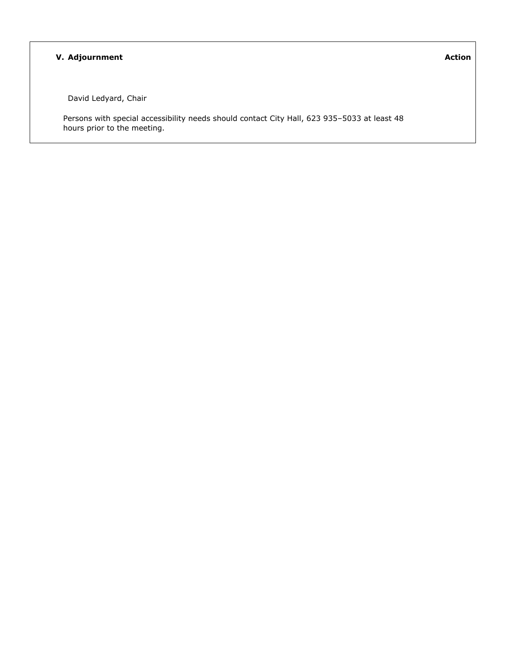#### **V. Adjournment**

David Ledyard, Chair

Persons with special accessibility needs should contact City Hall, 623 935–5033 at least 48 hours prior to the meeting.

**Action**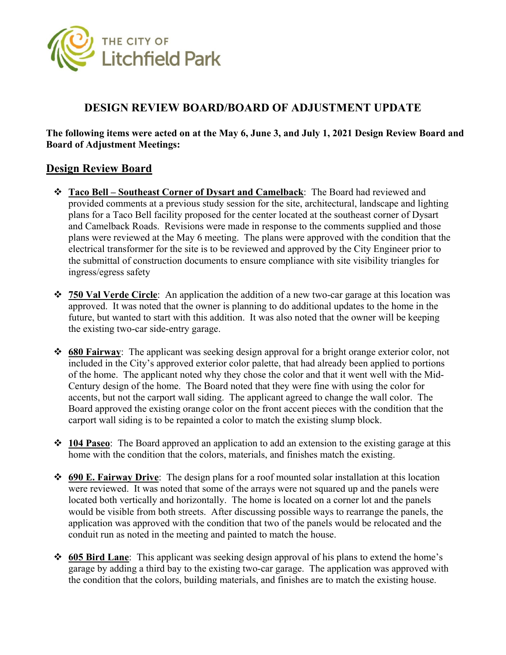<span id="page-2-0"></span>

### **DESIGN REVIEW BOARD/BOARD OF ADJUSTMENT UPDATE**

#### **The following items were acted on at the May 6, June 3, and July 1, 2021 Design Review Board and Board of Adjustment Meetings:**

### **Design Review Board**

- **Taco Bell Southeast Corner of Dysart and Camelback**: The Board had reviewed and provided comments at a previous study session for the site, architectural, landscape and lighting plans for a Taco Bell facility proposed for the center located at the southeast corner of Dysart and Camelback Roads. Revisions were made in response to the comments supplied and those plans were reviewed at the May 6 meeting. The plans were approved with the condition that the electrical transformer for the site is to be reviewed and approved by the City Engineer prior to the submittal of construction documents to ensure compliance with site visibility triangles for ingress/egress safety
- **750 Val Verde Circle**: An application the addition of a new two-car garage at this location was approved. It was noted that the owner is planning to do additional updates to the home in the future, but wanted to start with this addition. It was also noted that the owner will be keeping the existing two-car side-entry garage.
- **680 Fairway**: The applicant was seeking design approval for a bright orange exterior color, not included in the City's approved exterior color palette, that had already been applied to portions of the home. The applicant noted why they chose the color and that it went well with the Mid-Century design of the home. The Board noted that they were fine with using the color for accents, but not the carport wall siding. The applicant agreed to change the wall color. The Board approved the existing orange color on the front accent pieces with the condition that the carport wall siding is to be repainted a color to match the existing slump block.
- **104 Paseo**: The Board approved an application to add an extension to the existing garage at this home with the condition that the colors, materials, and finishes match the existing.
- **690 E. Fairway Drive**: The design plans for a roof mounted solar installation at this location were reviewed. It was noted that some of the arrays were not squared up and the panels were located both vertically and horizontally. The home is located on a corner lot and the panels would be visible from both streets. After discussing possible ways to rearrange the panels, the application was approved with the condition that two of the panels would be relocated and the conduit run as noted in the meeting and painted to match the house.
- **605 Bird Lane**: This applicant was seeking design approval of his plans to extend the home's garage by adding a third bay to the existing two-car garage. The application was approved with the condition that the colors, building materials, and finishes are to match the existing house.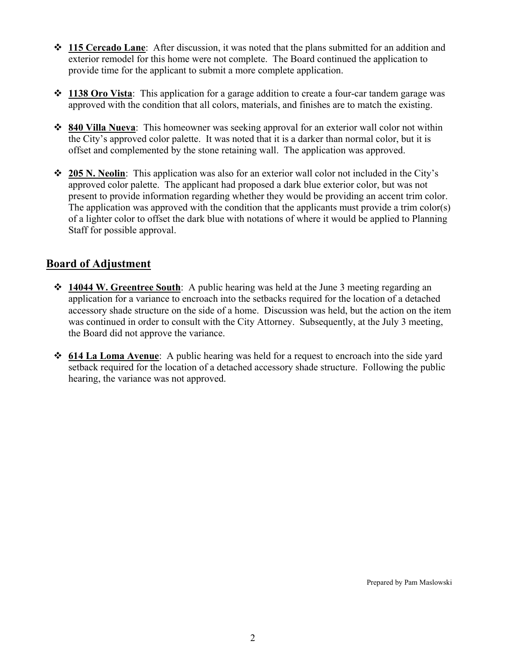- **115 Cercado Lane**: After discussion, it was noted that the plans submitted for an addition and exterior remodel for this home were not complete. The Board continued the application to provide time for the applicant to submit a more complete application.
- **1138 Oro Vista**: This application for a garage addition to create a four-car tandem garage was approved with the condition that all colors, materials, and finishes are to match the existing.
- **840 Villa Nueva**: This homeowner was seeking approval for an exterior wall color not within the City's approved color palette. It was noted that it is a darker than normal color, but it is offset and complemented by the stone retaining wall. The application was approved.
- **205 N. Neolin**: This application was also for an exterior wall color not included in the City's approved color palette. The applicant had proposed a dark blue exterior color, but was not present to provide information regarding whether they would be providing an accent trim color. The application was approved with the condition that the applicants must provide a trim color(s) of a lighter color to offset the dark blue with notations of where it would be applied to Planning Staff for possible approval.

### **Board of Adjustment**

- **14044 W. Greentree South**: A public hearing was held at the June 3 meeting regarding an application for a variance to encroach into the setbacks required for the location of a detached accessory shade structure on the side of a home. Discussion was held, but the action on the item was continued in order to consult with the City Attorney. Subsequently, at the July 3 meeting, the Board did not approve the variance.
- **614 La Loma Avenue**: A public hearing was held for a request to encroach into the side yard setback required for the location of a detached accessory shade structure. Following the public hearing, the variance was not approved.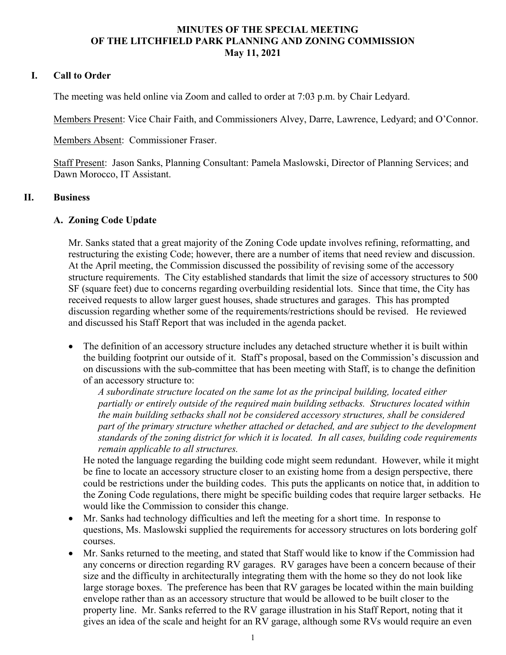#### **MINUTES OF THE SPECIAL MEETING OF THE LITCHFIELD PARK PLANNING AND ZONING COMMISSION May 11, 2021**

### <span id="page-4-0"></span>**I. Call to Order**

The meeting was held online via Zoom and called to order at 7:03 p.m. by Chair Ledyard.

Members Present: Vice Chair Faith, and Commissioners Alvey, Darre, Lawrence, Ledyard; and O'Connor.

Members Absent: Commissioner Fraser.

Staff Present: Jason Sanks, Planning Consultant: Pamela Maslowski, Director of Planning Services; and Dawn Morocco, IT Assistant.

#### **II. Business**

#### **A. Zoning Code Update**

Mr. Sanks stated that a great majority of the Zoning Code update involves refining, reformatting, and restructuring the existing Code; however, there are a number of items that need review and discussion. At the April meeting, the Commission discussed the possibility of revising some of the accessory structure requirements. The City established standards that limit the size of accessory structures to 500 SF (square feet) due to concerns regarding overbuilding residential lots. Since that time, the City has received requests to allow larger guest houses, shade structures and garages. This has prompted discussion regarding whether some of the requirements/restrictions should be revised. He reviewed and discussed his Staff Report that was included in the agenda packet.

 The definition of an accessory structure includes any detached structure whether it is built within the building footprint our outside of it. Staff's proposal, based on the Commission's discussion and on discussions with the sub-committee that has been meeting with Staff, is to change the definition of an accessory structure to:

*A subordinate structure located on the same lot as the principal building, located either partially or entirely outside of the required main building setbacks. Structures located within the main building setbacks shall not be considered accessory structures, shall be considered part of the primary structure whether attached or detached, and are subject to the development standards of the zoning district for which it is located. In all cases, building code requirements remain applicable to all structures.* 

He noted the language regarding the building code might seem redundant. However, while it might be fine to locate an accessory structure closer to an existing home from a design perspective, there could be restrictions under the building codes. This puts the applicants on notice that, in addition to the Zoning Code regulations, there might be specific building codes that require larger setbacks. He would like the Commission to consider this change.

- Mr. Sanks had technology difficulties and left the meeting for a short time. In response to questions, Ms. Maslowski supplied the requirements for accessory structures on lots bordering golf courses.
- Mr. Sanks returned to the meeting, and stated that Staff would like to know if the Commission had any concerns or direction regarding RV garages. RV garages have been a concern because of their size and the difficulty in architecturally integrating them with the home so they do not look like large storage boxes. The preference has been that RV garages be located within the main building envelope rather than as an accessory structure that would be allowed to be built closer to the property line. Mr. Sanks referred to the RV garage illustration in his Staff Report, noting that it gives an idea of the scale and height for an RV garage, although some RVs would require an even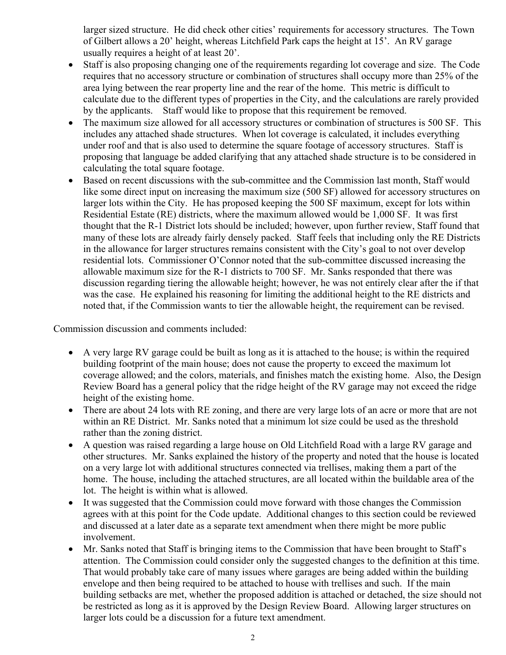larger sized structure. He did check other cities' requirements for accessory structures. The Town of Gilbert allows a 20' height, whereas Litchfield Park caps the height at 15'. An RV garage usually requires a height of at least 20'.

- Staff is also proposing changing one of the requirements regarding lot coverage and size. The Code requires that no accessory structure or combination of structures shall occupy more than 25% of the area lying between the rear property line and the rear of the home. This metric is difficult to calculate due to the different types of properties in the City, and the calculations are rarely provided by the applicants. Staff would like to propose that this requirement be removed.
- The maximum size allowed for all accessory structures or combination of structures is 500 SF. This includes any attached shade structures. When lot coverage is calculated, it includes everything under roof and that is also used to determine the square footage of accessory structures. Staff is proposing that language be added clarifying that any attached shade structure is to be considered in calculating the total square footage.
- Based on recent discussions with the sub-committee and the Commission last month, Staff would like some direct input on increasing the maximum size (500 SF) allowed for accessory structures on larger lots within the City. He has proposed keeping the 500 SF maximum, except for lots within Residential Estate (RE) districts, where the maximum allowed would be 1,000 SF. It was first thought that the R-1 District lots should be included; however, upon further review, Staff found that many of these lots are already fairly densely packed. Staff feels that including only the RE Districts in the allowance for larger structures remains consistent with the City's goal to not over develop residential lots. Commissioner O'Connor noted that the sub-committee discussed increasing the allowable maximum size for the R-1 districts to 700 SF. Mr. Sanks responded that there was discussion regarding tiering the allowable height; however, he was not entirely clear after the if that was the case. He explained his reasoning for limiting the additional height to the RE districts and noted that, if the Commission wants to tier the allowable height, the requirement can be revised.

Commission discussion and comments included:

- A very large RV garage could be built as long as it is attached to the house; is within the required building footprint of the main house; does not cause the property to exceed the maximum lot coverage allowed; and the colors, materials, and finishes match the existing home. Also, the Design Review Board has a general policy that the ridge height of the RV garage may not exceed the ridge height of the existing home.
- There are about 24 lots with RE zoning, and there are very large lots of an acre or more that are not within an RE District. Mr. Sanks noted that a minimum lot size could be used as the threshold rather than the zoning district.
- A question was raised regarding a large house on Old Litchfield Road with a large RV garage and other structures. Mr. Sanks explained the history of the property and noted that the house is located on a very large lot with additional structures connected via trellises, making them a part of the home. The house, including the attached structures, are all located within the buildable area of the lot. The height is within what is allowed.
- It was suggested that the Commission could move forward with those changes the Commission agrees with at this point for the Code update. Additional changes to this section could be reviewed and discussed at a later date as a separate text amendment when there might be more public involvement.
- Mr. Sanks noted that Staff is bringing items to the Commission that have been brought to Staff's attention. The Commission could consider only the suggested changes to the definition at this time. That would probably take care of many issues where garages are being added within the building envelope and then being required to be attached to house with trellises and such. If the main building setbacks are met, whether the proposed addition is attached or detached, the size should not be restricted as long as it is approved by the Design Review Board. Allowing larger structures on larger lots could be a discussion for a future text amendment.